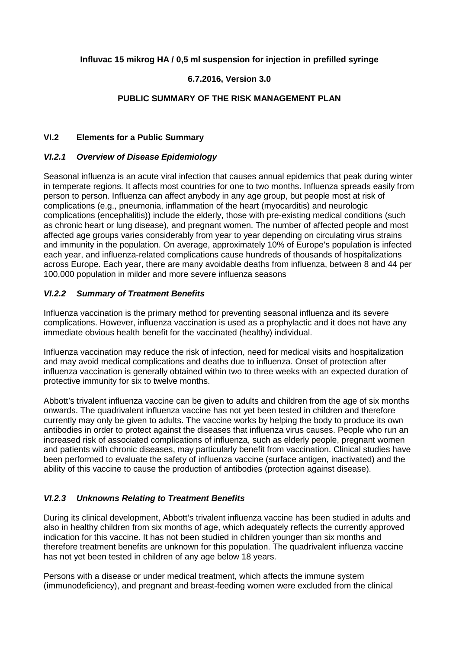## **Influvac 15 mikrog HA / 0,5 ml suspension for injection in prefilled syringe**

## **6.7.2016, Version 3.0**

### **PUBLIC SUMMARY OF THE RISK MANAGEMENT PLAN**

### **VI.2 Elements for a Public Summary**

#### *VI.2.1 Overview of Disease Epidemiology*

Seasonal influenza is an acute viral infection that causes annual epidemics that peak during winter in temperate regions. It affects most countries for one to two months. Influenza spreads easily from person to person. Influenza can affect anybody in any age group, but people most at risk of complications (e.g., pneumonia, inflammation of the heart (myocarditis) and neurologic complications (encephalitis)) include the elderly, those with pre-existing medical conditions (such as chronic heart or lung disease), and pregnant women. The number of affected people and most affected age groups varies considerably from year to year depending on circulating virus strains and immunity in the population. On average, approximately 10% of Europe's population is infected each year, and influenza-related complications cause hundreds of thousands of hospitalizations across Europe. Each year, there are many avoidable deaths from influenza, between 8 and 44 per 100,000 population in milder and more severe influenza seasons

### *VI.2.2 Summary of Treatment Benefits*

Influenza vaccination is the primary method for preventing seasonal influenza and its severe complications. However, influenza vaccination is used as a prophylactic and it does not have any immediate obvious health benefit for the vaccinated (healthy) individual.

Influenza vaccination may reduce the risk of infection, need for medical visits and hospitalization and may avoid medical complications and deaths due to influenza. Onset of protection after influenza vaccination is generally obtained within two to three weeks with an expected duration of protective immunity for six to twelve months.

Abbott's trivalent influenza vaccine can be given to adults and children from the age of six months onwards. The quadrivalent influenza vaccine has not yet been tested in children and therefore currently may only be given to adults. The vaccine works by helping the body to produce its own antibodies in order to protect against the diseases that influenza virus causes. People who run an increased risk of associated complications of influenza, such as elderly people, pregnant women and patients with chronic diseases, may particularly benefit from vaccination. Clinical studies have been performed to evaluate the safety of influenza vaccine (surface antigen, inactivated) and the ability of this vaccine to cause the production of antibodies (protection against disease).

### *VI.2.3 Unknowns Relating to Treatment Benefits*

During its clinical development, Abbott's trivalent influenza vaccine has been studied in adults and also in healthy children from six months of age, which adequately reflects the currently approved indication for this vaccine. It has not been studied in children younger than six months and therefore treatment benefits are unknown for this population. The quadrivalent influenza vaccine has not yet been tested in children of any age below 18 years.

Persons with a disease or under medical treatment, which affects the immune system (immunodeficiency), and pregnant and breast-feeding women were excluded from the clinical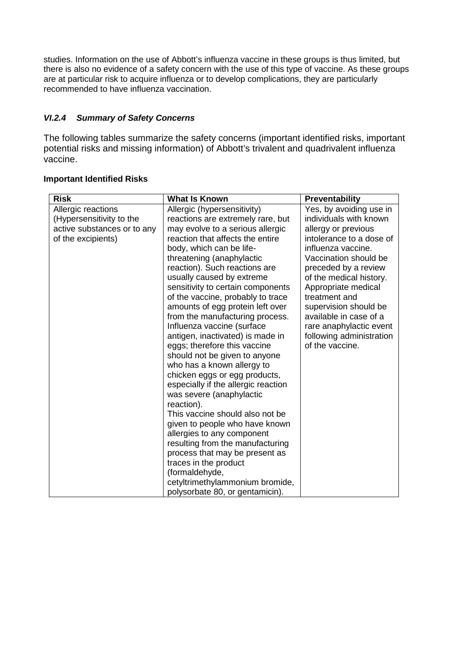studies. Information on the use of Abbott's influenza vaccine in these groups is thus limited, but there is also no evidence of a safety concern with the use of this type of vaccine. As these groups are at particular risk to acquire influenza or to develop complications, they are particularly recommended to have influenza vaccination.

# *VI.2.4 Summary of Safety Concerns*

The following tables summarize the safety concerns (important identified risks, important potential risks and missing information) of Abbott's trivalent and quadrivalent influenza vaccine.

## **Important Identified Risks**

| <b>Risk</b>                 | <b>What Is Known</b>                | <b>Preventability</b>    |
|-----------------------------|-------------------------------------|--------------------------|
| Allergic reactions          | Allergic (hypersensitivity)         | Yes, by avoiding use in  |
| (Hypersensitivity to the    | reactions are extremely rare, but   | individuals with known   |
| active substances or to any | may evolve to a serious allergic    | allergy or previous      |
| of the excipients)          | reaction that affects the entire    | intolerance to a dose of |
|                             | body, which can be life-            | influenza vaccine.       |
|                             | threatening (anaphylactic           | Vaccination should be    |
|                             | reaction). Such reactions are       | preceded by a review     |
|                             | usually caused by extreme           | of the medical history.  |
|                             | sensitivity to certain components   | Appropriate medical      |
|                             | of the vaccine, probably to trace   | treatment and            |
|                             | amounts of egg protein left over    | supervision should be    |
|                             | from the manufacturing process.     | available in case of a   |
|                             | Influenza vaccine (surface          | rare anaphylactic event  |
|                             | antigen, inactivated) is made in    | following administration |
|                             | eggs; therefore this vaccine        | of the vaccine.          |
|                             | should not be given to anyone       |                          |
|                             | who has a known allergy to          |                          |
|                             | chicken eggs or egg products,       |                          |
|                             | especially if the allergic reaction |                          |
|                             | was severe (anaphylactic            |                          |
|                             | reaction).                          |                          |
|                             | This vaccine should also not be     |                          |
|                             | given to people who have known      |                          |
|                             | allergies to any component          |                          |
|                             | resulting from the manufacturing    |                          |
|                             | process that may be present as      |                          |
|                             | traces in the product               |                          |
|                             | (formaldehyde,                      |                          |
|                             | cetyltrimethylammonium bromide,     |                          |
|                             | polysorbate 80, or gentamicin).     |                          |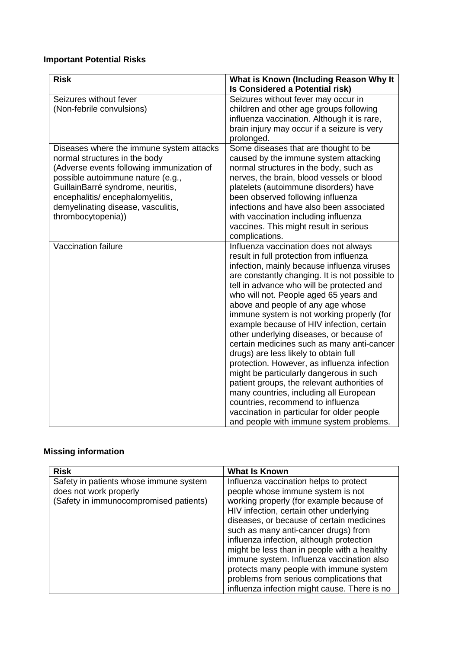# **Important Potential Risks**

| <b>Risk</b>                                                                                                                                                                                                                                                                                      | What is Known (Including Reason Why It<br>Is Considered a Potential risk)                                                                                                                                                                                                                                                                                                                                                                                                                                                                                                                                                                                                                                                                                                                                                                                     |
|--------------------------------------------------------------------------------------------------------------------------------------------------------------------------------------------------------------------------------------------------------------------------------------------------|---------------------------------------------------------------------------------------------------------------------------------------------------------------------------------------------------------------------------------------------------------------------------------------------------------------------------------------------------------------------------------------------------------------------------------------------------------------------------------------------------------------------------------------------------------------------------------------------------------------------------------------------------------------------------------------------------------------------------------------------------------------------------------------------------------------------------------------------------------------|
| Seizures without fever<br>(Non-febrile convulsions)                                                                                                                                                                                                                                              | Seizures without fever may occur in<br>children and other age groups following<br>influenza vaccination. Although it is rare,<br>brain injury may occur if a seizure is very<br>prolonged.                                                                                                                                                                                                                                                                                                                                                                                                                                                                                                                                                                                                                                                                    |
| Diseases where the immune system attacks<br>normal structures in the body<br>(Adverse events following immunization of<br>possible autoimmune nature (e.g.,<br>GuillainBarré syndrome, neuritis,<br>encephalitis/ encephalomyelitis,<br>demyelinating disease, vasculitis,<br>thrombocytopenia)) | Some diseases that are thought to be<br>caused by the immune system attacking<br>normal structures in the body, such as<br>nerves, the brain, blood vessels or blood<br>platelets (autoimmune disorders) have<br>been observed following influenza<br>infections and have also been associated<br>with vaccination including influenza<br>vaccines. This might result in serious<br>complications.                                                                                                                                                                                                                                                                                                                                                                                                                                                            |
| Vaccination failure                                                                                                                                                                                                                                                                              | Influenza vaccination does not always<br>result in full protection from influenza<br>infection, mainly because influenza viruses<br>are constantly changing. It is not possible to<br>tell in advance who will be protected and<br>who will not. People aged 65 years and<br>above and people of any age whose<br>immune system is not working properly (for<br>example because of HIV infection, certain<br>other underlying diseases, or because of<br>certain medicines such as many anti-cancer<br>drugs) are less likely to obtain full<br>protection. However, as influenza infection<br>might be particularly dangerous in such<br>patient groups, the relevant authorities of<br>many countries, including all European<br>countries, recommend to influenza<br>vaccination in particular for older people<br>and people with immune system problems. |

# **Missing information**

| <b>Risk</b>                            | <b>What Is Known</b>                         |
|----------------------------------------|----------------------------------------------|
| Safety in patients whose immune system | Influenza vaccination helps to protect       |
| does not work properly                 | people whose immune system is not            |
| (Safety in immunocompromised patients) | working properly (for example because of     |
|                                        | HIV infection, certain other underlying      |
|                                        | diseases, or because of certain medicines    |
|                                        | such as many anti-cancer drugs) from         |
|                                        | influenza infection, although protection     |
|                                        | might be less than in people with a healthy  |
|                                        | immune system. Influenza vaccination also    |
|                                        | protects many people with immune system      |
|                                        | problems from serious complications that     |
|                                        | influenza infection might cause. There is no |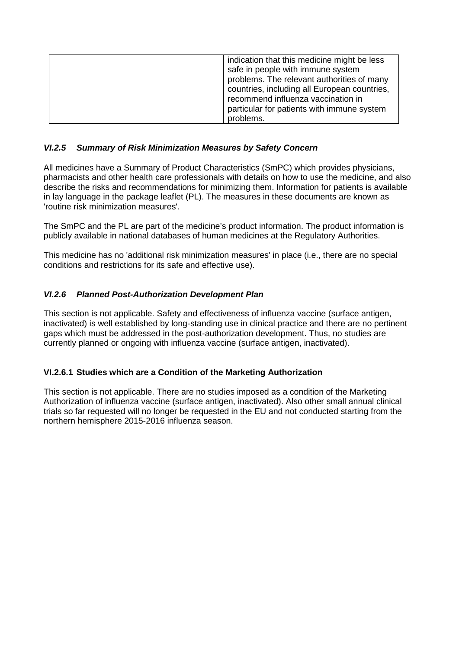| indication that this medicine might be less<br>safe in people with immune system<br>problems. The relevant authorities of many<br>countries, including all European countries,<br>recommend influenza vaccination in<br>particular for patients with immune system<br>problems. |
|---------------------------------------------------------------------------------------------------------------------------------------------------------------------------------------------------------------------------------------------------------------------------------|
|                                                                                                                                                                                                                                                                                 |

## *VI.2.5 Summary of Risk Minimization Measures by Safety Concern*

All medicines have a Summary of Product Characteristics (SmPC) which provides physicians, pharmacists and other health care professionals with details on how to use the medicine, and also describe the risks and recommendations for minimizing them. Information for patients is available in lay language in the package leaflet (PL). The measures in these documents are known as 'routine risk minimization measures'.

The SmPC and the PL are part of the medicine's product information. The product information is publicly available in national databases of human medicines at the Regulatory Authorities.

This medicine has no 'additional risk minimization measures' in place (i.e., there are no special conditions and restrictions for its safe and effective use).

## *VI.2.6 Planned Post-Authorization Development Plan*

This section is not applicable. Safety and effectiveness of influenza vaccine (surface antigen, inactivated) is well established by long-standing use in clinical practice and there are no pertinent gaps which must be addressed in the post-authorization development. Thus, no studies are currently planned or ongoing with influenza vaccine (surface antigen, inactivated).

### **VI.2.6.1 Studies which are a Condition of the Marketing Authorization**

This section is not applicable. There are no studies imposed as a condition of the Marketing Authorization of influenza vaccine (surface antigen, inactivated). Also other small annual clinical trials so far requested will no longer be requested in the EU and not conducted starting from the northern hemisphere 2015-2016 influenza season.